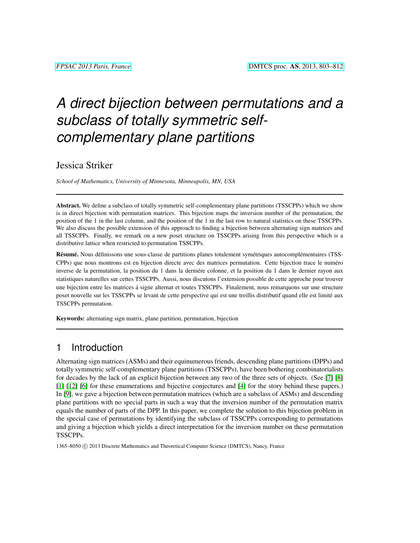# *A direct bijection between permutations and a subclass of totally symmetric selfcomplementary plane partitions*

#### Jessica Striker

*School of Mathematics, University of Minnesota, Minneapolis, MN, USA*

Abstract. We define a subclass of totally symmetric self-complementary plane partitions (TSSCPPs) which we show is in direct bijection with permutation matrices. This bijection maps the inversion number of the permutation, the position of the 1 in the last column, and the position of the 1 in the last row to natural statistics on these TSSCPPs. We also discuss the possible extension of this approach to finding a bijection between alternating sign matrices and all TSSCPPs. Finally, we remark on a new poset structure on TSSCPPs arising from this perspective which is a distributive lattice when restricted to permutation TSSCPPs.

Résumé. Nous définissons une sous-classe de partitions planes totalement symétriques autocomplémentaires (TSS-CPPs) que nous montrons est en bijection directe avec des matrices permutation. Cette bijection trace le numero ´ inverse de la permutation, la position du 1 dans la derniére colonne, et la position du 1 dans le dernier rayon aux statistiques naturelles sur cettes TSSCPPs. Aussi, nous discutons l'extension possible de cette approche pour trouver une bijection entre les matrices á signe alternat et toutes TSSCPPs. Finalement, nous remarquons sur une structure poset nouvelle sur les TSSCPPs se levant de cette perspective qui est une treillis distributif quand elle est limite aux ´ TSSCPPs permutation.

Keywords: alternating sign matrix, plane partition, permutation, bijection

## 1 Introduction

Alternating sign matrices (ASMs) and their equinumerous friends, descending plane partitions (DPPs) and totally symmetric self-complementary plane partitions (TSSCPPs), have been bothering combinatorialists for decades by the lack of an explicit bijection between any two of the three sets of objects. (See [\[7\]](#page-8-0) [\[8\]](#page-8-1) [\[1\]](#page-8-2) [\[12\]](#page-8-3) [\[6\]](#page-8-4) for these enumerations and bijective conjectures and [\[4\]](#page-8-5) for the story behind these papers.) In [\[9\]](#page-8-6), we gave a bijection between permutation matrices (which are a subclass of ASMs) and descending plane partitions with no special parts in such a way that the inversion number of the permutation matrix equals the number of parts of the DPP. In this paper, we complete the solution to this bijection problem in the special case of permutations by identifying the subclass of TSSCPPs corresponding to permutations and giving a bijection which yields a direct interpretation for the inversion number on these permutation TSSCPPs.

1365–8050 © 2013 Discrete Mathematics and Theoretical Computer Science (DMTCS), Nancy, France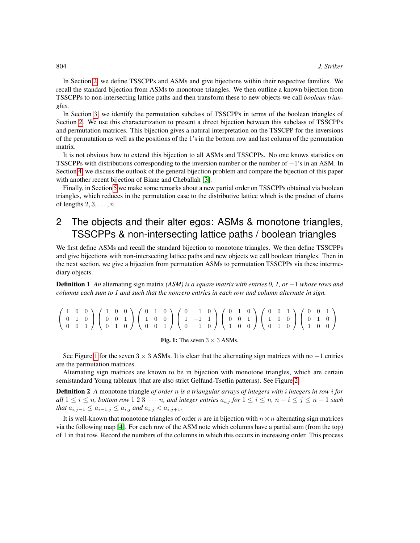In Section [2,](#page-1-0) we define TSSCPPs and ASMs and give bijections within their respective families. We recall the standard bijection from ASMs to monotone triangles. We then outline a known bijection from TSSCPPs to non-intersecting lattice paths and then transform these to new objects we call *boolean triangles*.

In Section [3,](#page-4-0) we identify the permutation subclass of TSSCPPs in terms of the boolean triangles of Section [2.](#page-1-0) We use this characterization to present a direct bijection between this subclass of TSSCPPs and permutation matrices. This bijection gives a natural interpretation on the TSSCPP for the inversions of the permutation as well as the positions of the 1's in the bottom row and last column of the permutation matrix.

It is not obvious how to extend this bijection to all ASMs and TSSCPPs. No one knows statistics on TSSCPPs with distributions corresponding to the inversion number or the number of −1's in an ASM. In Section [4,](#page-5-0) we discuss the outlook of the general bijection problem and compare the bijection of this paper with another recent bijection of Biane and Cheballah [\[3\]](#page-8-7).

Finally, in Section [5](#page-6-0) we make some remarks about a new partial order on TSSCPPs obtained via boolean triangles, which reduces in the permutation case to the distributive lattice which is the product of chains of lengths  $2, 3, \ldots, n$ .

# <span id="page-1-0"></span>2 The objects and their alter egos: ASMs & monotone triangles, TSSCPPs & non-intersecting lattice paths / boolean triangles

We first define ASMs and recall the standard bijection to monotone triangles. We then define TSSCPPs and give bijections with non-intersecting lattice paths and new objects we call boolean triangles. Then in the next section, we give a bijection from permutation ASMs to permutation TSSCPPs via these intermediary objects.

Definition 1 *An* alternating sign matrix *(ASM) is a square matrix with entries 0, 1, or* −1 *whose rows and columns each sum to 1 and such that the nonzero entries in each row and column alternate in sign.*

|  |  |  |  |  |  |  |  |  | $\left(\begin{array}{rrr}1&0&0\\0&1&0\\0&0&1\end{array}\right)\left(\begin{array}{rrr}1&0&0\\0&0&1\\0&1&0\end{array}\right) \left(\begin{array}{rrr}0&1&0\\1&0&0\\0&0&1\end{array}\right) \left(\begin{array}{rrr}0&1&0\\1&-1&1\\0&1&0\end{array}\right) \left(\begin{array}{rrr}0&1&0\\0&0&1\\1&0&0\end{array}\right) \left(\begin{array}{rrr}0&0&1\\1&0&0\\0&1&0\end{array}\right) \left(\begin{array}{rrr}0&0&1\\$ |  |  |  |  |
|--|--|--|--|--|--|--|--|--|-----------------------------------------------------------------------------------------------------------------------------------------------------------------------------------------------------------------------------------------------------------------------------------------------------------------------------------------------------------------------------------------------------------------------|--|--|--|--|
|  |  |  |  |  |  |  |  |  |                                                                                                                                                                                                                                                                                                                                                                                                                       |  |  |  |  |
|  |  |  |  |  |  |  |  |  |                                                                                                                                                                                                                                                                                                                                                                                                                       |  |  |  |  |

#### <span id="page-1-1"></span>Fig. 1: The seven  $3 \times 3$  ASMs.

See Figure [1](#page-1-1) for the seven  $3 \times 3$  ASMs. It is clear that the alternating sign matrices with no  $-1$  entries are the permutation matrices.

Alternating sign matrices are known to be in bijection with monotone triangles, which are certain semistandard Young tableaux (that are also strict Gelfand-Tsetlin patterns). See Figure [2.](#page-2-0)

Definition 2 *A* monotone triangle *of order* n *is a triangular arrays of integers with* i *integers in row* i *for all*  $1 \leq i \leq n$ , bottom row  $1 \leq 3 \cdots n$ , and integer entries  $a_{i,j}$  for  $1 \leq i \leq n$ ,  $n-i \leq j \leq n-1$  such *that*  $a_{i,j-1} \le a_{i-1,j} \le a_{i,j}$  *and*  $a_{i,j} < a_{i,j+1}$ *.* 

It is well-known that monotone triangles of order n are in bijection with  $n \times n$  alternating sign matrices via the following map [\[4\]](#page-8-5). For each row of the ASM note which columns have a partial sum (from the top) of 1 in that row. Record the numbers of the columns in which this occurs in increasing order. This process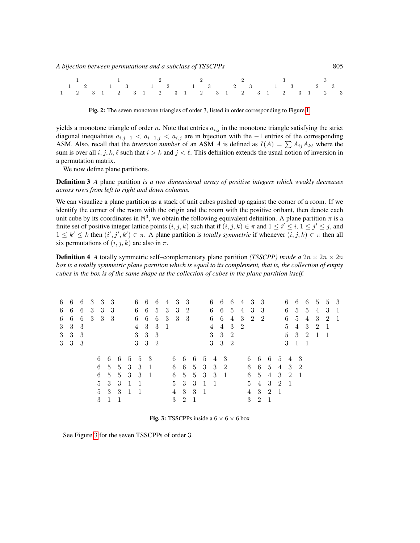| $\begin{array}{ccccccccccccccccc}\n1 & 1 & 1 & 2 & 2 & 2 & 3 & 3\n\end{array}$                              |  |  |  |  |  |  |  |  |  |  |  |  |  |  |  |  |  |
|-------------------------------------------------------------------------------------------------------------|--|--|--|--|--|--|--|--|--|--|--|--|--|--|--|--|--|
| $1 \quad 2 \quad 1 \quad 3 \quad 1 \quad 2 \quad 1 \quad 3 \quad 2 \quad 3 \quad 1 \quad 3 \quad 2 \quad 3$ |  |  |  |  |  |  |  |  |  |  |  |  |  |  |  |  |  |
| 1 2 3 1 2 3 1 2 3 1 2 3 1 2 3 1 2 3 1 2 3 1                                                                 |  |  |  |  |  |  |  |  |  |  |  |  |  |  |  |  |  |

<span id="page-2-0"></span>Fig. 2: The seven monotone triangles of order 3, listed in order corresponding to Figure [1.](#page-1-1)

yields a monotone triangle of order n. Note that entries  $a_{i,j}$  in the monotone triangle satisfying the strict diagonal inequalities  $a_{i,j-1} < a_{i-1,j} < a_{i,j}$  are in bijection with the -1 entries of the corresponding ASM. Also, recall that the *inversion number* of an ASM A is defined as  $I(A) = \sum A_{ij}A_{k\ell}$  where the sum is over all i, j, k,  $\ell$  such that  $i > k$  and  $j < \ell$ . This definition extends the usual notion of inversion in a permutation matrix.

We now define plane partitions.

Definition 3 *A* plane partition *is a two dimensional array of positive integers which weakly decreases across rows from left to right and down columns.*

We can visualize a plane partition as a stack of unit cubes pushed up against the corner of a room. If we identify the corner of the room with the origin and the room with the positive orthant, then denote each unit cube by its coordinates in  $\mathbb{N}^3$ , we obtain the following equivalent definition. A plane partition  $\pi$  is a finite set of positive integer lattice points  $(i, j, k)$  such that if  $(i, j, k) \in \pi$  and  $1 \leq i' \leq i, 1 \leq j' \leq j$ , and  $1 \leq k' \leq k$  then  $(i', j', k') \in \pi$ . A plane partition is *totally symmetric* if whenever  $(i, j, k) \in \pi$  then all six permutations of  $(i, j, k)$  are also in  $\pi$ .

**Definition 4** *A* totally symmetric self–complementary plane partition *(TSSCPP) inside a*  $2n \times 2n \times 2n$ *box is a totally symmetric plane partition which is equal to its complement, that is, the collection of empty cubes in the box is of the same shape as the collection of cubes in the plane partition itself.*

| 6 6 6               |  | 3 3 3 |     |                   |                          |                |                | 6 6 6               | 4 3 3       |             |                          |                |                |                 |                     |             | 6 6 6 4 3 3    |                 |                |                     |                | 6              |                 |    | 6 6 5 5 3      |                |  |
|---------------------|--|-------|-----|-------------------|--------------------------|----------------|----------------|---------------------|-------------|-------------|--------------------------|----------------|----------------|-----------------|---------------------|-------------|----------------|-----------------|----------------|---------------------|----------------|----------------|-----------------|----|----------------|----------------|--|
| 6 6 6               |  | - 3   |     | 3 3               |                          |                |                |                     | 6 6 5 3 3 2 |             |                          |                |                |                 |                     |             | 6 6 5 4        | 3 3             |                |                     |                |                |                 |    | 6 5 5 4        | 3 1            |  |
| $6\quad 6\quad 6$   |  | -3    |     | $3 \quad 3$       |                          |                |                |                     | 6 6 6 3     |             | 3 3                      |                |                |                 |                     |             | 6 6 4 3        | 2 2             |                |                     |                |                |                 |    | 6 5 4 3        | 2 1            |  |
| $3 \quad 3 \quad 3$ |  |       |     |                   |                          |                | 4              | $3 \quad 3$         | - 1         |             |                          |                |                | $4\overline{ }$ |                     | $4 \quad 3$ | $\overline{2}$ |                 |                |                     |                | 5 <sup>5</sup> | 4               | -3 | $\overline{2}$ | -1             |  |
| $3 \quad 3 \quad 3$ |  |       |     |                   |                          |                |                | $3 \quad 3 \quad 3$ |             |             |                          |                |                |                 | $3 \quad 3 \quad 2$ |             |                |                 |                |                     |                |                | $5 \t3 \t2 \t1$ |    |                | $\overline{1}$ |  |
| $3 \quad 3 \quad 3$ |  |       |     |                   |                          |                |                | $3 \quad 3 \quad 2$ |             |             |                          |                |                |                 | $3 \quad 3 \quad 2$ |             |                |                 |                |                     |                |                | 3 1 1           |    |                |                |  |
|                     |  |       |     |                   |                          |                |                |                     |             |             |                          |                |                |                 |                     |             |                |                 |                |                     |                |                |                 |    |                |                |  |
|                     |  |       |     |                   | 6 6 6 5 5 3              |                |                |                     |             |             |                          |                |                |                 | 6 6 6 5 4 3         |             |                |                 |                |                     |                |                | 6 6 6 5 4 3     |    |                |                |  |
|                     |  |       |     |                   | $6\quad 5\quad 5\quad 3$ |                | -3             | $\overline{1}$      |             |             |                          |                |                |                 | 6 6 5 3 3 2         |             |                |                 |                | 6 6 5 4             |                |                | 3 2             |    |                |                |  |
|                     |  |       |     |                   | $6\quad 5\quad 5\quad 3$ |                | -3             | $\overline{1}$      |             |             | $6\quad 5\quad 5\quad 3$ |                |                |                 | 3 1                 |             |                |                 |                | 6 5 4 3             |                |                | 2 1             |    |                |                |  |
|                     |  |       |     |                   | 5 3 3 1                  |                | $\overline{1}$ |                     |             |             | 5 3 3 1                  |                |                | $\overline{1}$  |                     |             |                | $5 -$           |                | $4 \quad 3 \quad 2$ |                | $\overline{1}$ |                 |    |                |                |  |
|                     |  |       |     | $5\quad 3\quad 3$ |                          | $\overline{1}$ | $\overline{1}$ |                     |             | 4           | $3 \quad 3$              |                | $\overline{1}$ |                 |                     |             |                | $4\overline{ }$ | 3 2            |                     | $\overline{1}$ |                |                 |    |                |                |  |
|                     |  |       | 3 1 |                   | $\overline{1}$           |                |                |                     |             | $3 \quad 2$ |                          | $\overline{1}$ |                |                 |                     |             |                | $3 -$           | $\overline{2}$ | $\overline{1}$      |                |                |                 |    |                |                |  |

<span id="page-2-1"></span>Fig. 3: TSSCPPs inside a  $6 \times 6 \times 6$  box

See Figure [3](#page-2-1) for the seven TSSCPPs of order 3.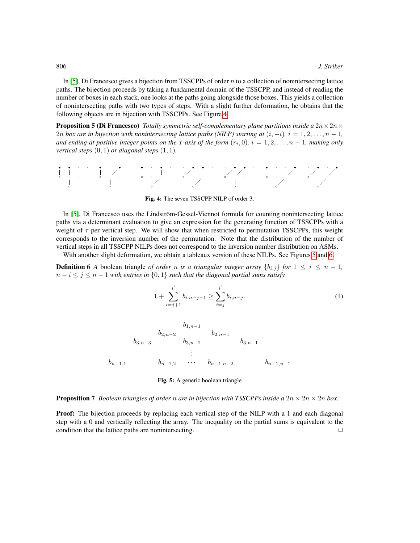In [\[5\]](#page-8-8), Di Francesco gives a bijection from TSSCPPs of order  $n$  to a collection of nonintersecting lattice paths. The bijection proceeds by taking a fundamental domain of the TSSCPP, and instead of reading the number of boxes in each stack, one looks at the paths going alongside those boxes. This yields a collection of nonintersecting paths with two types of steps. With a slight further deformation, he obtains that the following objects are in bijection with TSSCPPs. See Figure [4.](#page-3-0)

**Proposition 5 (Di Francesco)** *Totally symmetric self-complementary plane partitions inside a*  $2n \times 2n \times$ 2n box are in bijection with nonintersecting lattice paths (NILP) starting at  $(i, -i)$ ,  $i = 1, 2, \ldots, n - 1$ , and ending at positive integer points on the x-axis of the form  $(r_i, 0)$ ,  $i = 1, 2, \ldots, n - 1$ , making only *vertical steps*  $(0, 1)$  *or diagonal steps*  $(1, 1)$ *.* 



<span id="page-3-0"></span>Fig. 4: The seven TSSCPP NILP of order 3.

In [\[5\]](#page-8-8), Di Francesco uses the Lindström-Gessel-Viennot formula for counting nonintersecting lattice paths via a determinant evaluation to give an expression for the generating function of TSSCPPs with a weight of  $\tau$  per vertical step. We will show that when restricted to permutation TSSCPPs, this weight corresponds to the inversion number of the permutation. Note that the distribution of the number of vertical steps in all TSSCPP NILPs does not correspond to the inversion number distribution on ASMs.

With another slight deformation, we obtain a tableaux version of these NILPs. See Figures [5](#page-3-1) and [6.](#page-4-1)

**Definition 6** *A* boolean triangle *of order n is a triangular integer array*  $\{b_{i,j}\}$  *for*  $1 \leq i \leq n-1$ *,*  $n - i \leq j \leq n - 1$  *with entries in*  $\{0, 1\}$  *such that the diagonal partial sums satisfy* 

<span id="page-3-2"></span>
$$
1 + \sum_{i=j+1}^{i'} b_{i,n-j-1} \ge \sum_{i=j}^{i'} b_{i,n-j}.
$$
 (1)

$$
b_{1,n-1} \t b_{2,n-2} \t b_{3,n-3} \t b_{3,n-2} \t b_{3,n-1}
$$
  
 
$$
\vdots \t b_{n-1,1} \t b_{n-1,2} \t \cdots \t b_{n-1,n-2} \t b_{n-1,n-1}
$$

<span id="page-3-1"></span>Fig. 5: A generic boolean triangle

**Proposition 7** *Boolean triangles of order n are in bijection with TSSCPPs inside a*  $2n \times 2n \times 2n$  *box.* 

**Proof:** The bijection proceeds by replacing each vertical step of the NILP with a 1 and each diagonal step with a 0 and vertically reflecting the array. The inequality on the partial sums is equivalent to the condition that the lattice paths are nonintersecting.  $\Box$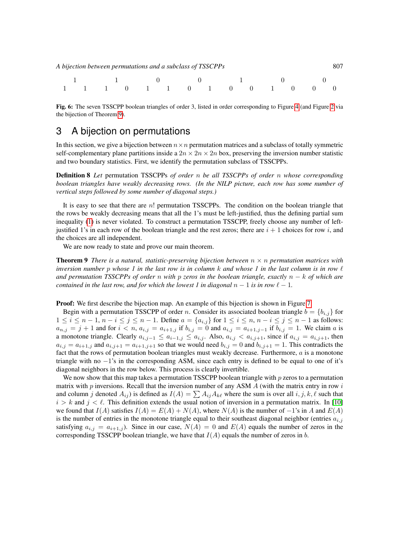|  |  |  | A bijection between permutations and a subclass of TSSCPPs |                                                            |  |  |  |
|--|--|--|------------------------------------------------------------|------------------------------------------------------------|--|--|--|
|  |  |  |                                                            | $\begin{array}{ccccccc} 1 & 1 & 0 & 0 & 1 & 0 \end{array}$ |  |  |  |
|  |  |  |                                                            | 1 1 1 0 1 1 0 1 0 0 1 0 0 0                                |  |  |  |

<span id="page-4-1"></span>Fig. 6: The seven TSSCPP boolean triangles of order 3, listed in order corresponding to Figure [4](#page-3-0) (and Figure [2](#page-2-0) via the bijection of Theorem [9\)](#page-4-2).

### <span id="page-4-0"></span>3 A bijection on permutations

In this section, we give a bijection between  $n \times n$  permutation matrices and a subclass of totally symmetric self-complementary plane partitions inside a  $2n \times 2n \times 2n$  box, preserving the inversion number statistic and two boundary statistics. First, we identify the permutation subclass of TSSCPPs.

Definition 8 *Let* permutation TSSCPPs *of order* n *be all TSSCPPs of order* n *whose corresponding boolean triangles have weakly decreasing rows. (In the NILP picture, each row has some number of vertical steps followed by some number of diagonal steps.)*

It is easy to see that there are  $n!$  permutation TSSCPPs. The condition on the boolean triangle that the rows be weakly decreasing means that all the 1's must be left-justified, thus the defining partial sum inequality [\(1\)](#page-3-2) is never violated. To construct a permutation TSSCPP, freely choose any number of leftjustified 1's in each row of the boolean triangle and the rest zeros; there are  $i + 1$  choices for row i, and the choices are all independent.

We are now ready to state and prove our main theorem.

<span id="page-4-2"></span>**Theorem 9** *There is a natural, statistic-preserving bijection between*  $n \times n$  *permutation matrices with inversion number* p whose 1 in the last row is in column  $k$  and whose 1 in the last column is in row  $\ell$ *and permutation TSSCPPs of order* n *with* p *zeros in the boolean triangle, exactly* n − k *of which are contained in the last row, and for which the lowest 1 in diagonal*  $n - 1$  *is in row*  $\ell - 1$ *.* 

**Proof:** We first describe the bijection map. An example of this bijection is shown in Figure [7.](#page-5-1)

Begin with a permutation TSSCPP of order n. Consider its associated boolean triangle  $b = \{b_{i,j}\}\$ for  $1 \leq i \leq n-1, n-i \leq j \leq n-1$ . Define  $a = \{a_{i,j}\}$  for  $1 \leq i \leq n, n-i \leq j \leq n-1$  as follows:  $a_{n,j} = j + 1$  and for  $i < n$ ,  $a_{i,j} = a_{i+1,j}$  if  $b_{i,j} = 0$  and  $a_{i,j} = a_{i+1,j-1}$  if  $b_{i,j} = 1$ . We claim a is a monotone triangle. Clearly  $a_{i,j-1} \le a_{i-1,j} \le a_{i,j}$ . Also,  $a_{i,j} < a_{i,j+1}$ , since if  $a_{i,j} = a_{i,j+1}$ , then  $a_{i,j} = a_{i+1,j}$  and  $a_{i,j+1} = a_{i+1,j+1}$  so that we would need  $b_{i,j} = 0$  and  $b_{i,j+1} = 1$ . This contradicts the fact that the rows of permutation boolean triangles must weakly decrease. Furthermore,  $a$  is a monotone triangle with no  $-1$ 's in the corresponding ASM, since each entry is defined to be equal to one of it's diagonal neighbors in the row below. This process is clearly invertible.

We now show that this map takes a permutation TSSCPP boolean triangle with  $p$  zeros to a permutation matrix with  $p$  inversions. Recall that the inversion number of any ASM  $\Lambda$  (with the matrix entry in row  $i$ and column j denoted  $A_{ij}$ ) is defined as  $I(A) = \sum A_{ij} A_{k\ell}$  where the sum is over all  $i, j, k, \ell$  such that  $i > k$  and  $j < \ell$ . This definition extends the usual notion of inversion in a permutation matrix. In [\[10\]](#page-8-9) we found that  $I(A)$  satisfies  $I(A) = E(A) + N(A)$ , where  $N(A)$  is the number of  $-1$ 's in A and  $E(A)$ is the number of entries in the monotone triangle equal to their southeast diagonal neighbor (entries  $a_{i,j}$ satisfying  $a_{i,j} = a_{i+1,j}$ ). Since in our case,  $N(A) = 0$  and  $E(A)$  equals the number of zeros in the corresponding TSSCPP boolean triangle, we have that  $I(A)$  equals the number of zeros in b.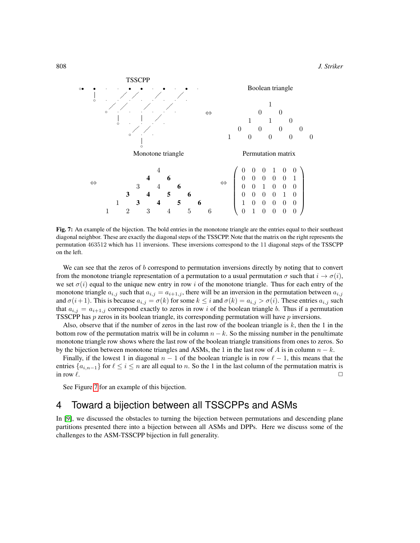808 *J. Striker*



<span id="page-5-1"></span>Fig. 7: An example of the bijection. The bold entries in the monotone triangle are the entries equal to their southeast diagonal neighbor. These are exactly the diagonal steps of the TSSCPP. Note that the matrix on the right represents the permutation 463512 which has 11 inversions. These inversions correspond to the 11 diagonal steps of the TSSCPP on the left.

We can see that the zeros of b correspond to permutation inversions directly by noting that to convert from the monotone triangle representation of a permutation to a usual permutation  $\sigma$  such that  $i \to \sigma(i)$ , we set  $\sigma(i)$  equal to the unique new entry in row i of the monotone triangle. Thus for each entry of the monotone triangle  $a_{i,j}$  such that  $a_{i,j} = a_{i+1,j}$ , there will be an inversion in the permutation between  $a_{i,j}$ and  $\sigma(i+1)$ . This is because  $a_{i,j} = \sigma(k)$  for some  $k \leq i$  and  $\sigma(k) = a_{i,j} > \sigma(i)$ . These entries  $a_{i,j}$  such that  $a_{i,j} = a_{i+1,j}$  correspond exactly to zeros in row i of the boolean triangle b. Thus if a permutation TSSCPP has  $p$  zeros in its boolean triangle, its corresponding permutation will have  $p$  inversions.

Also, observe that if the number of zeros in the last row of the boolean triangle is  $k$ , then the 1 in the bottom row of the permutation matrix will be in column  $n - k$ . So the missing number in the penultimate monotone triangle row shows where the last row of the boolean triangle transitions from ones to zeros. So by the bijection between monotone triangles and ASMs, the 1 in the last row of A is in column  $n - k$ .

Finally, if the lowest 1 in diagonal  $n - 1$  of the boolean triangle is in row  $\ell - 1$ , this means that the entries  $\{a_{i,n-1}\}$  for  $\ell \leq i \leq n$  are all equal to n. So the 1 in the last column of the permutation matrix is in row  $\ell$ .

See Figure [7](#page-5-1) for an example of this bijection.

## <span id="page-5-0"></span>4 Toward a bijection between all TSSCPPs and ASMs

In [\[9\]](#page-8-6), we discussed the obstacles to turning the bijection between permutations and descending plane partitions presented there into a bijection between all ASMs and DPPs. Here we discuss some of the challenges to the ASM-TSSCPP bijection in full generality.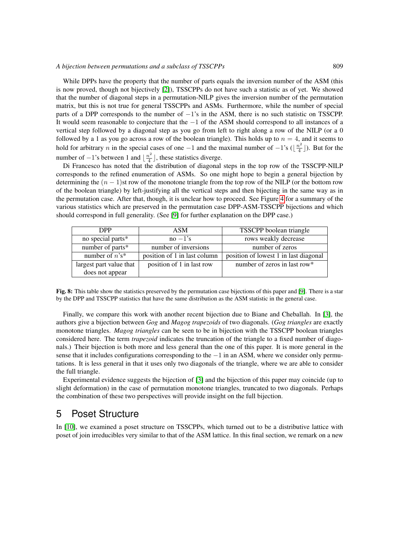#### *A bijection between permutations and a subclass of TSSCPPs* 809

While DPPs have the property that the number of parts equals the inversion number of the ASM (this is now proved, though not bijectively [\[2\]](#page-8-10)), TSSCPPs do not have such a statistic as of yet. We showed that the number of diagonal steps in a permutation-NILP gives the inversion number of the permutation matrix, but this is not true for general TSSCPPs and ASMs. Furthermore, while the number of special parts of a DPP corresponds to the number of −1's in the ASM, there is no such statistic on TSSCPP. It would seem reasonable to conjecture that the −1 of the ASM should correspond to all instances of a vertical step followed by a diagonal step as you go from left to right along a row of the NILP (or a 0 followed by a 1 as you go across a row of the boolean triangle). This holds up to  $n = 4$ , and it seems to hold for arbitrary *n* in the special cases of one  $-1$  and the maximal number of  $-1$ 's ( $\lfloor \frac{n^2}{4} \rfloor$  $\lfloor \frac{n^2}{4} \rfloor$ ). But for the number of  $-1$ 's between 1 and  $\lfloor \frac{n^2}{4} \rfloor$  $\frac{a^2}{4}$ , these statistics diverge.

Di Francesco has noted that the distribution of diagonal steps in the top row of the TSSCPP-NILP corresponds to the refined enumeration of ASMs. So one might hope to begin a general bijection by determining the  $(n - 1)$ st row of the monotone triangle from the top row of the NILP (or the bottom row of the boolean triangle) by left-justifying all the vertical steps and then bijecting in the same way as in the permutation case. After that, though, it is unclear how to proceed. See Figure [4](#page-5-0) for a summary of the various statistics which are preserved in the permutation case DPP-ASM-TSSCPP bijections and which should correspond in full generality. (See [\[9\]](#page-8-6) for further explanation on the DPP case.)

| <b>DPP</b>              | <b>ASM</b>                   | TSSCPP boolean triangle               |
|-------------------------|------------------------------|---------------------------------------|
| no special parts*       | $no - 1's$                   | rows weakly decrease                  |
| number of parts*        | number of inversions         | number of zeros                       |
| number of $n's^*$       | position of 1 in last column | position of lowest 1 in last diagonal |
| largest part value that | position of 1 in last row    | number of zeros in last row*          |
| does not appear         |                              |                                       |

Fig. 8: This table show the statistics preserved by the permutation case bijections of this paper and [\[9\]](#page-8-6). There is a star by the DPP and TSSCPP statistics that have the same distribution as the ASM statistic in the general case.

Finally, we compare this work with another recent bijection due to Biane and Cheballah. In [\[3\]](#page-8-7), the authors give a bijection between *Gog* and *Magog trapezoids* of two diagonals. (*Gog triangles* are exactly monotone triangles. *Magog triangles* can be seen to be in bijection with the TSSCPP boolean triangles considered here. The term *trapezoid* indicates the truncation of the triangle to a fixed number of diagonals.) Their bijection is both more and less general than the one of this paper. It is more general in the sense that it includes configurations corresponding to the −1 in an ASM, where we consider only permutations. It is less general in that it uses only two diagonals of the triangle, where we are able to consider the full triangle.

Experimental evidence suggests the bijection of [\[3\]](#page-8-7) and the bijection of this paper may coincide (up to slight deformation) in the case of permutation monotone triangles, truncated to two diagonals. Perhaps the combination of these two perspectives will provide insight on the full bijection.

## <span id="page-6-0"></span>5 Poset Structure

In [\[10\]](#page-8-9), we examined a poset structure on TSSCPPs, which turned out to be a distributive lattice with poset of join irreducibles very similar to that of the ASM lattice. In this final section, we remark on a new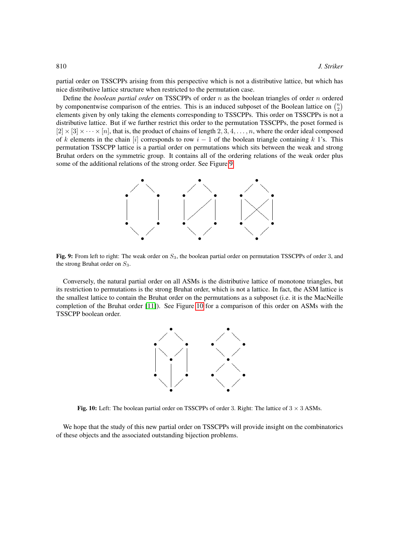partial order on TSSCPPs arising from this perspective which is not a distributive lattice, but which has nice distributive lattice structure when restricted to the permutation case.

Define the *boolean partial order* on TSSCPPs of order n as the boolean triangles of order n ordered by componentwise comparison of the entries. This is an induced subposet of the Boolean lattice on  $\binom{n}{2}$ elements given by only taking the elements corresponding to TSSCPPs. This order on TSSCPPs is not a distributive lattice. But if we further restrict this order to the permutation TSSCPPs, the poset formed is  $[2] \times [3] \times \cdots \times [n]$ , that is, the product of chains of length 2, 3, 4, ..., n, where the order ideal composed of k elements in the chain [i] corresponds to row  $i - 1$  of the boolean triangle containing k 1's. This permutation TSSCPP lattice is a partial order on permutations which sits between the weak and strong Bruhat orders on the symmetric group. It contains all of the ordering relations of the weak order plus some of the additional relations of the strong order. See Figure [9.](#page-7-0)



<span id="page-7-0"></span>Fig. 9: From left to right: The weak order on  $S_3$ , the boolean partial order on permutation TSSCPPs of order 3, and the strong Bruhat order on  $S_3$ .

Conversely, the natural partial order on all ASMs is the distributive lattice of monotone triangles, but its restriction to permutations is the strong Bruhat order, which is not a lattice. In fact, the ASM lattice is the smallest lattice to contain the Bruhat order on the permutations as a subposet (i.e. it is the MacNeille completion of the Bruhat order [\[11\]](#page-8-11)). See Figure [10](#page-7-1) for a comparison of this order on ASMs with the TSSCPP boolean order.



<span id="page-7-1"></span>Fig. 10: Left: The boolean partial order on TSSCPPs of order 3. Right: The lattice of  $3 \times 3$  ASMs.

We hope that the study of this new partial order on TSSCPPs will provide insight on the combinatorics of these objects and the associated outstanding bijection problems.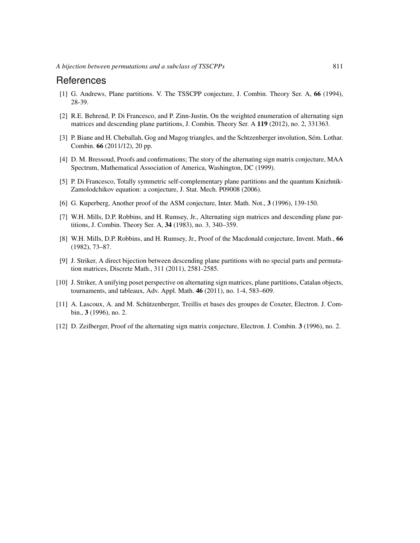#### References

- <span id="page-8-2"></span>[1] G. Andrews, Plane partitions. V. The TSSCPP conjecture, J. Combin. Theory Ser. A, 66 (1994), 28-39.
- <span id="page-8-10"></span>[2] R.E. Behrend, P. Di Francesco, and P. Zinn-Justin, On the weighted enumeration of alternating sign matrices and descending plane partitions, J. Combin. Theory Ser. A 119 (2012), no. 2, 331363.
- <span id="page-8-7"></span>[3] P. Biane and H. Cheballah, Gog and Magog triangles, and the Schtzenberger involution, Sém. Lothar. Combin. 66 (2011/12), 20 pp.
- <span id="page-8-5"></span>[4] D. M. Bressoud, Proofs and confirmations; The story of the alternating sign matrix conjecture, MAA Spectrum, Mathematical Association of America, Washington, DC (1999).
- <span id="page-8-8"></span>[5] P. Di Francesco, Totally symmetric self-complementary plane partitions and the quantum Knizhnik-Zamolodchikov equation: a conjecture, J. Stat. Mech. P09008 (2006).
- <span id="page-8-4"></span>[6] G. Kuperberg, Another proof of the ASM conjecture, Inter. Math. Not., 3 (1996), 139-150.
- <span id="page-8-0"></span>[7] W.H. Mills, D.P. Robbins, and H. Rumsey, Jr., Alternating sign matrices and descending plane partitions, J. Combin. Theory Ser. A, 34 (1983), no. 3, 340–359.
- <span id="page-8-1"></span>[8] W.H. Mills, D.P. Robbins, and H. Rumsey, Jr., Proof of the Macdonald conjecture, Invent. Math., 66 (1982), 73–87.
- <span id="page-8-6"></span>[9] J. Striker, A direct bijection between descending plane partitions with no special parts and permutation matrices, Discrete Math., 311 (2011), 2581-2585.
- <span id="page-8-9"></span>[10] J. Striker, A unifying poset perspective on alternating sign matrices, plane partitions, Catalan objects, tournaments, and tableaux, Adv. Appl. Math. 46 (2011), no. 1-4, 583–609.
- <span id="page-8-11"></span>[11] A. Lascoux, A. and M. Schützenberger, Treillis et bases des groupes de Coxeter, Electron. J. Combin., 3 (1996), no. 2.
- <span id="page-8-3"></span>[12] D. Zeilberger, Proof of the alternating sign matrix conjecture, Electron. J. Combin. 3 (1996), no. 2.